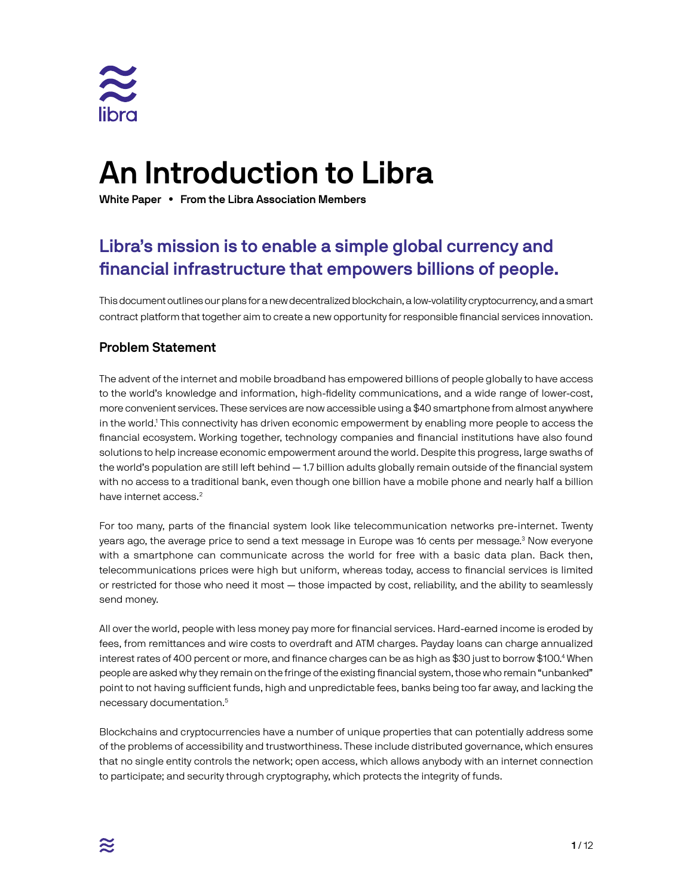

# **An Introduction to Libra**

**White Paper • From the Libra Association Members**

#### **Libra's mission is to enable a simple global currency and financial infrastructure that empowers billions of people.**

This document outlines our plans for a new decentralized blockchain, a low-volatility cryptocurrency, and a smart contract platform that together aim to create a new opportunity for responsible financial services innovation.

#### **Problem Statement**

 $\approx$ 

The advent of the internet and mobile broadband has empowered billions of people globally to have access to the world's knowledge and information, high-fidelity communications, and a wide range of lower-cost, more convenient services. These services are now accessible using a \$40 smartphone from almost anywhere in the world.1 This connectivity has driven economic empowerment by enabling more people to access the financial ecosystem. Working together, technology companies and financial institutions have also found solutions to help increase economic empowerment around the world. Despite this progress, large swaths of the world's population are still left behind — 1.7 billion adults globally remain outside of the financial system with no access to a traditional bank, even though one billion have a mobile phone and nearly half a billion have internet access.<sup>2</sup>

For too many, parts of the financial system look like telecommunication networks pre-internet. Twenty years ago, the average price to send a text message in Europe was 16 cents per message.<sup>3</sup> Now everyone with a smartphone can communicate across the world for free with a basic data plan. Back then, telecommunications prices were high but uniform, whereas today, access to financial services is limited or restricted for those who need it most — those impacted by cost, reliability, and the ability to seamlessly send money.

All over the world, people with less money pay more for financial services. Hard-earned income is eroded by fees, from remittances and wire costs to overdraft and ATM charges. Payday loans can charge annualized interest rates of 400 percent or more, and finance charges can be as high as \$30 just to borrow \$100.<sup>4</sup> When people are asked why they remain on the fringe of the existing financial system, those who remain "unbanked" point to not having sufficient funds, high and unpredictable fees, banks being too far away, and lacking the necessary documentation.5

Blockchains and cryptocurrencies have a number of unique properties that can potentially address some of the problems of accessibility and trustworthiness. These include distributed governance, which ensures that no single entity controls the network; open access, which allows anybody with an internet connection to participate; and security through cryptography, which protects the integrity of funds.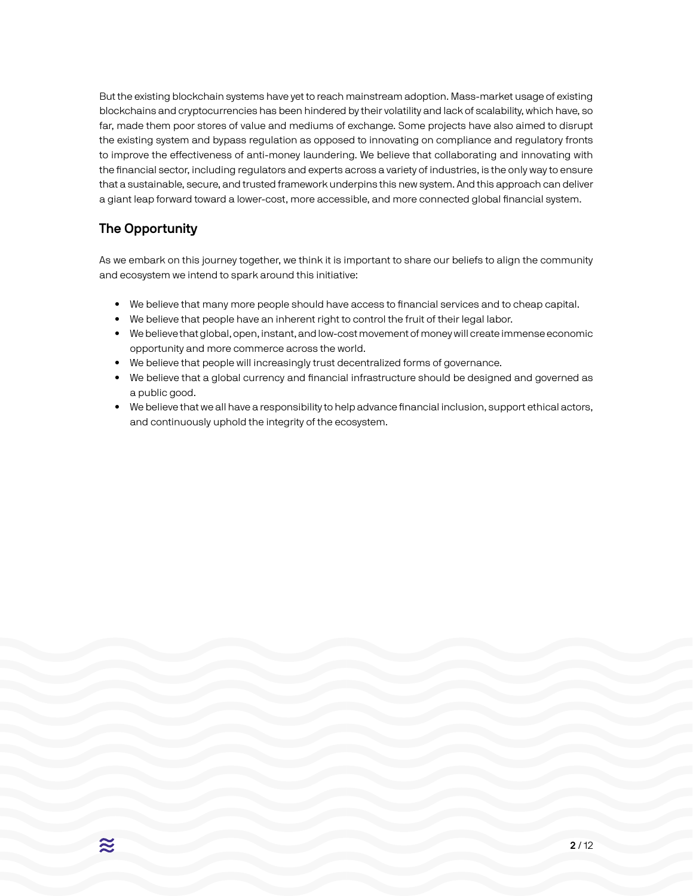But the existing blockchain systems have yet to reach mainstream adoption. Mass-market usage of existing blockchains and cryptocurrencies has been hindered by their volatility and lack of scalability, which have, so far, made them poor stores of value and mediums of exchange. Some projects have also aimed to disrupt the existing system and bypass regulation as opposed to innovating on compliance and regulatory fronts to improve the effectiveness of anti-money laundering. We believe that collaborating and innovating with the financial sector, including regulators and experts across a variety of industries, is the only way to ensure that a sustainable, secure, and trusted framework underpins this new system. And this approach can deliver a giant leap forward toward a lower-cost, more accessible, and more connected global financial system.

#### **The Opportunity**

As we embark on this journey together, we think it is important to share our beliefs to align the community and ecosystem we intend to spark around this initiative:

- We believe that many more people should have access to financial services and to cheap capital.
- We believe that people have an inherent right to control the fruit of their legal labor.
- We believe that global, open, instant, and low-cost movement of money will create immense economic opportunity and more commerce across the world.
- We believe that people will increasingly trust decentralized forms of governance.
- We believe that a global currency and financial infrastructure should be designed and governed as a public good.
- We believe that we all have a responsibility to help advance financial inclusion, support ethical actors, and continuously uphold the integrity of the ecosystem.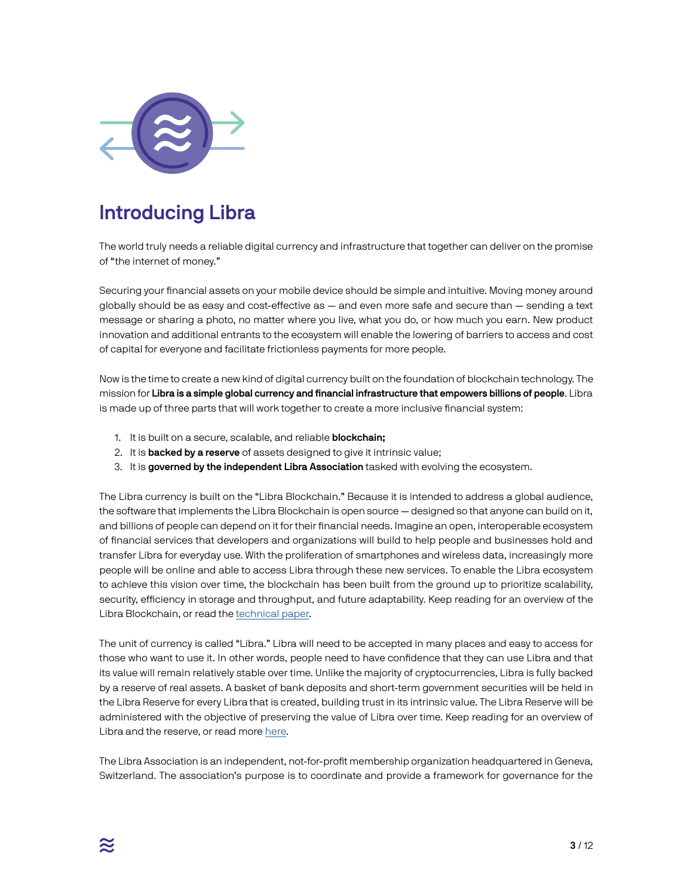

### **Introducing Libra**

 $\approx$ 

The world truly needs a reliable digital currency and infrastructure that together can deliver on the promise of "the internet of money."

Securing your financial assets on your mobile device should be simple and intuitive. Moving money around globally should be as easy and cost-effective as — and even more safe and secure than — sending a text message or sharing a photo, no matter where you live, what you do, or how much you earn. New product innovation and additional entrants to the ecosystem will enable the lowering of barriers to access and cost of capital for everyone and facilitate frictionless payments for more people.

Now is the time to create a new kind of digital currency built on the foundation of blockchain technology. The mission for **Libra is a simple global currency and financial infrastructure that empowers billions of people**. Libra is made up of three parts that will work together to create a more inclusive financial system:

- 1. It is built on a secure, scalable, and reliable **blockchain;**
- 2. It is **backed by a reserve** of assets designed to give it intrinsic value;
- 3. It is **governed by the independent Libra Association** tasked with evolving the ecosystem.

The Libra currency is built on the "Libra Blockchain." Because it is intended to address a global audience, the software that implements the Libra Blockchain is open source — designed so that anyone can build on it, and billions of people can depend on it for their financial needs. Imagine an open, interoperable ecosystem of financial services that developers and organizations will build to help people and businesses hold and transfer Libra for everyday use. With the proliferation of smartphones and wireless data, increasingly more people will be online and able to access Libra through these new services. To enable the Libra ecosystem to achieve this vision over time, the blockchain has been built from the ground up to prioritize scalability, security, efficiency in storage and throughput, and future adaptability. Keep reading for an overview of the Libra Blockchain, or read the [technical paper.](https://developers.libra.org/docs/the-libra-blockchain-paper)

The unit of currency is called "Libra." Libra will need to be accepted in many places and easy to access for those who want to use it. In other words, people need to have confidence that they can use Libra and that its value will remain relatively stable over time. Unlike the majority of cryptocurrencies, Libra is fully backed by a reserve of real assets. A basket of bank deposits and short-term government securities will be held in the Libra Reserve for every Libra that is created, building trust in its intrinsic value. The Libra Reserve will be administered with the objective of preserving the value of Libra over time. Keep reading for an overview of Libra and the reserve, or read more [here.](https://libra.org/en-us/about-currency-reserve)

The Libra Association is an independent, not-for-profit membership organization headquartered in Geneva, Switzerland. The association's purpose is to coordinate and provide a framework for governance for the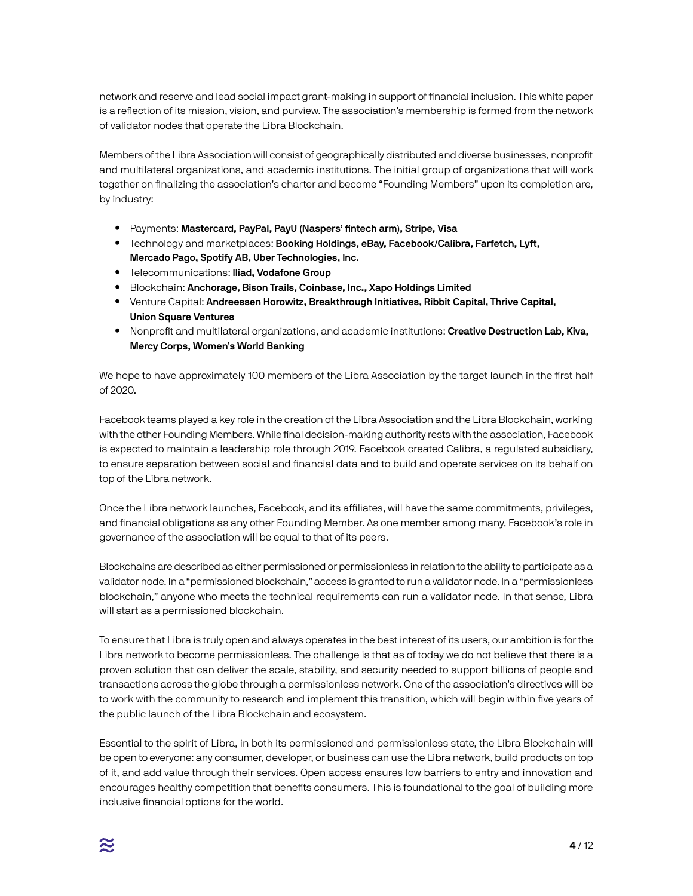network and reserve and lead social impact grant-making in support of financial inclusion. This white paper is a reflection of its mission, vision, and purview. The association's membership is formed from the network of validator nodes that operate the Libra Blockchain.

Members of the Libra Association will consist of geographically distributed and diverse businesses, nonprofit and multilateral organizations, and academic institutions. The initial group of organizations that will work together on finalizing the association's charter and become "Founding Members" upon its completion are, by industry:

- Payments: **Mastercard, PayPal, PayU (Naspers' fintech arm), Stripe, Visa**
- Technology and marketplaces: **Booking Holdings, eBay, Facebook/Calibra, Farfetch, Lyft, Mercado Pago, Spotify AB, Uber Technologies, Inc.**
- Telecommunications: **Iliad, Vodafone Group**

 $\bf{\widetilde{\approx}}$ 

- Blockchain: **Anchorage, Bison Trails, Coinbase, Inc., Xapo Holdings Limited**
- Venture Capital: **Andreessen Horowitz, Breakthrough Initiatives, Ribbit Capital, Thrive Capital, Union Square Ventures**
- Nonprofit and multilateral organizations, and academic institutions: **Creative Destruction Lab, Kiva, Mercy Corps, Women's World Banking**

We hope to have approximately 100 members of the Libra Association by the target launch in the first half of 2020.

Facebook teams played a key role in the creation of the Libra Association and the Libra Blockchain, working with the other Founding Members. While final decision-making authority rests with the association, Facebook is expected to maintain a leadership role through 2019. Facebook created Calibra, a regulated subsidiary, to ensure separation between social and financial data and to build and operate services on its behalf on top of the Libra network.

Once the Libra network launches, Facebook, and its affiliates, will have the same commitments, privileges, and financial obligations as any other Founding Member. As one member among many, Facebook's role in governance of the association will be equal to that of its peers.

Blockchains are described as either permissioned or permissionless in relation to the ability to participate as a validator node. In a "permissioned blockchain," access is granted to run a validator node. In a "permissionless blockchain," anyone who meets the technical requirements can run a validator node. In that sense, Libra will start as a permissioned blockchain.

To ensure that Libra is truly open and always operates in the best interest of its users, our ambition is for the Libra network to become permissionless. The challenge is that as of today we do not believe that there is a proven solution that can deliver the scale, stability, and security needed to support billions of people and transactions across the globe through a permissionless network. One of the association's directives will be to work with the community to research and implement this transition, which will begin within five years of the public launch of the Libra Blockchain and ecosystem.

Essential to the spirit of Libra, in both its permissioned and permissionless state, the Libra Blockchain will be open to everyone: any consumer, developer, or business can use the Libra network, build products on top of it, and add value through their services. Open access ensures low barriers to entry and innovation and encourages healthy competition that benefits consumers. This is foundational to the goal of building more inclusive financial options for the world.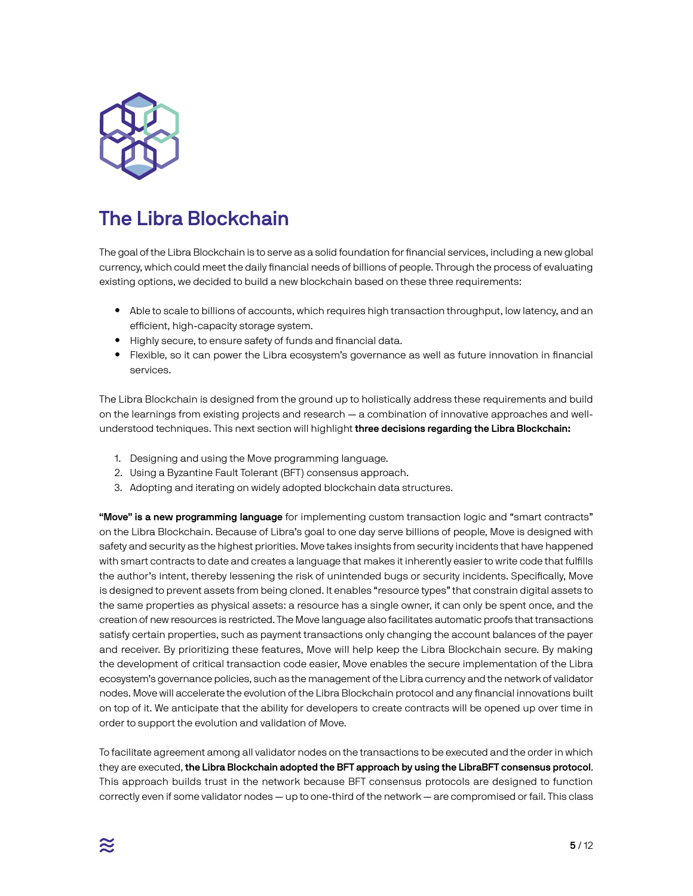

 $\bf{\widetilde{\approx}}$ 

# **The Libra Blockchain**

The goal of the Libra Blockchain is to serve as a solid foundation for financial services, including a new global currency, which could meet the daily financial needs of billions of people. Through the process of evaluating existing options, we decided to build a new blockchain based on these three requirements:

- Able to scale to billions of accounts, which requires high transaction throughput, low latency, and an efficient, high-capacity storage system.
- Highly secure, to ensure safety of funds and financial data.
- Flexible, so it can power the Libra ecosystem's governance as well as future innovation in financial services.

The Libra Blockchain is designed from the ground up to holistically address these requirements and build on the learnings from existing projects and research — a combination of innovative approaches and wellunderstood techniques. This next section will highlight **three decisions regarding the Libra Blockchain:**

- 1. Designing and using the Move programming language.
- 2. Using a Byzantine Fault Tolerant (BFT) consensus approach.
- 3. Adopting and iterating on widely adopted blockchain data structures.

**"Move" is a new programming language** for implementing custom transaction logic and "smart contracts" on the Libra Blockchain. Because of Libra's goal to one day serve billions of people, Move is designed with safety and security as the highest priorities. Move takes insights from security incidents that have happened with smart contracts to date and creates a language that makes it inherently easier to write code that fulfills the author's intent, thereby lessening the risk of unintended bugs or security incidents. Specifically, Move is designed to prevent assets from being cloned. It enables "resource types" that constrain digital assets to the same properties as physical assets: a resource has a single owner, it can only be spent once, and the creation of new resources is restricted. The Move language also facilitates automatic proofs that transactions satisfy certain properties, such as payment transactions only changing the account balances of the payer and receiver. By prioritizing these features, Move will help keep the Libra Blockchain secure. By making the development of critical transaction code easier, Move enables the secure implementation of the Libra ecosystem's governance policies, such as the management of the Libra currency and the network of validator nodes. Move will accelerate the evolution of the Libra Blockchain protocol and any financial innovations built on top of it. We anticipate that the ability for developers to create contracts will be opened up over time in order to support the evolution and validation of Move.

To facilitate agreement among all validator nodes on the transactions to be executed and the order in which they are executed, **the Libra Blockchain adopted the BFT approach by using the LibraBFT consensus protocol**. This approach builds trust in the network because BFT consensus protocols are designed to function correctly even if some validator nodes — up to one-third of the network — are compromised or fail. This class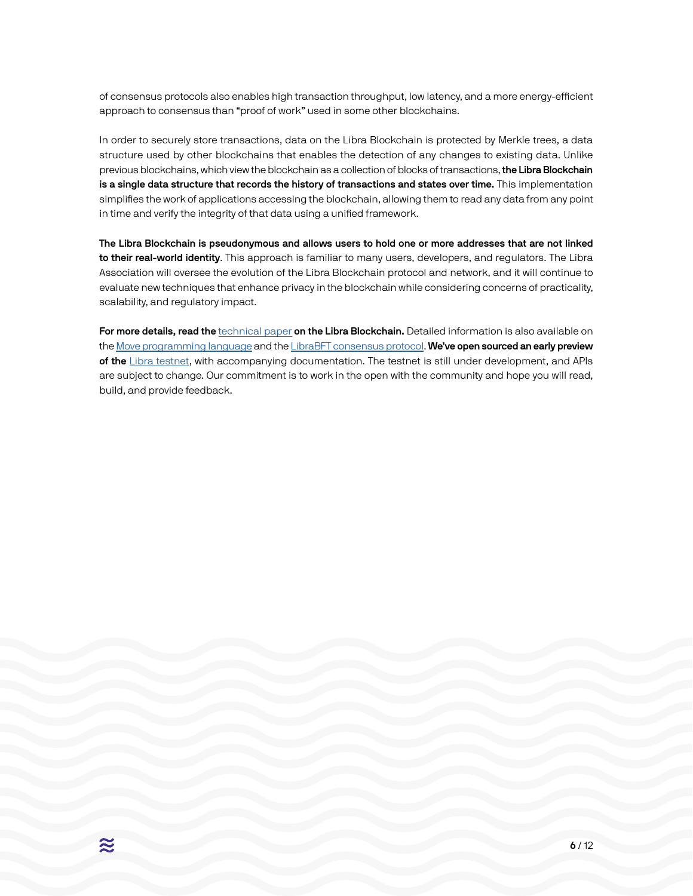of consensus protocols also enables high transaction throughput, low latency, and a more energy-efficient approach to consensus than "proof of work" used in some other blockchains.

In order to securely store transactions, data on the Libra Blockchain is protected by Merkle trees, a data structure used by other blockchains that enables the detection of any changes to existing data. Unlike previous blockchains, which view the blockchain as a collection of blocks of transactions, **the Libra Blockchain is a single data structure that records the history of transactions and states over time.** This implementation simplifies the work of applications accessing the blockchain, allowing them to read any data from any point in time and verify the integrity of that data using a unified framework.

**The Libra Blockchain is pseudonymous and allows users to hold one or more addresses that are not linked to their real-world identity**. This approach is familiar to many users, developers, and regulators. The Libra Association will oversee the evolution of the Libra Blockchain protocol and network, and it will continue to evaluate new techniques that enhance privacy in the blockchain while considering concerns of practicality, scalability, and regulatory impact.

**For more details, read the** [technical paper](https://developers.libra.org/docs/the-libra-blockchain-paper) **on the Libra Blockchain.** Detailed information is also available on the [Move programming language](https://developers.libra.org/docs/move-paper) and the [LibraBFT consensus protocol.](https://developers.libra.org/docs/state-machine-replication-paper) **We've open sourced an early preview of the** [Libra testnet](https://developers.libra.org/), with accompanying documentation. The testnet is still under development, and APIs are subject to change. Our commitment is to work in the open with the community and hope you will read, build, and provide feedback.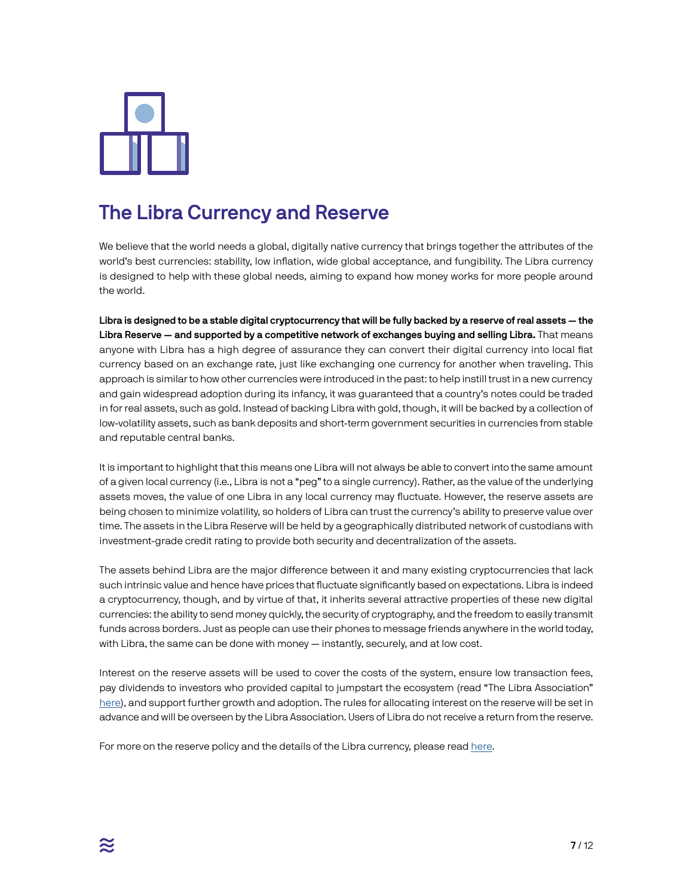

 $\approx$ 

### **The Libra Currency and Reserve**

We believe that the world needs a global, digitally native currency that brings together the attributes of the world's best currencies: stability, low inflation, wide global acceptance, and fungibility. The Libra currency is designed to help with these global needs, aiming to expand how money works for more people around the world.

**Libra is designed to be a stable digital cryptocurrency that will be fully backed by a reserve of real assets — the Libra Reserve — and supported by a competitive network of exchanges buying and selling Libra.** That means anyone with Libra has a high degree of assurance they can convert their digital currency into local fiat currency based on an exchange rate, just like exchanging one currency for another when traveling. This approach is similar to how other currencies were introduced in the past: to help instill trust in a new currency and gain widespread adoption during its infancy, it was guaranteed that a country's notes could be traded in for real assets, such as gold. Instead of backing Libra with gold, though, it will be backed by a collection of low-volatility assets, such as bank deposits and short-term government securities in currencies from stable and reputable central banks.

It is important to highlight that this means one Libra will not always be able to convert into the same amount of a given local currency (i.e., Libra is not a "peg" to a single currency). Rather, as the value of the underlying assets moves, the value of one Libra in any local currency may fluctuate. However, the reserve assets are being chosen to minimize volatility, so holders of Libra can trust the currency's ability to preserve value over time. The assets in the Libra Reserve will be held by a geographically distributed network of custodians with investment-grade credit rating to provide both security and decentralization of the assets.

The assets behind Libra are the major difference between it and many existing cryptocurrencies that lack such intrinsic value and hence have prices that fluctuate significantly based on expectations. Libra is indeed a cryptocurrency, though, and by virtue of that, it inherits several attractive properties of these new digital currencies: the ability to send money quickly, the security of cryptography, and the freedom to easily transmit funds across borders. Just as people can use their phones to message friends anywhere in the world today, with Libra, the same can be done with money — instantly, securely, and at low cost.

Interest on the reserve assets will be used to cover the costs of the system, ensure low transaction fees, pay dividends to investors who provided capital to jumpstart the ecosystem (read "The Libra Association" [here\)](https://libra.org/en-us/association-council-principles), and support further growth and adoption. The rules for allocating interest on the reserve will be set in advance and will be overseen by the Libra Association. Users of Libra do not receive a return from the reserve.

For more on the reserve policy and the details of the Libra currency, please read [here.](https://libra.org/en-us/about-currency-reserve)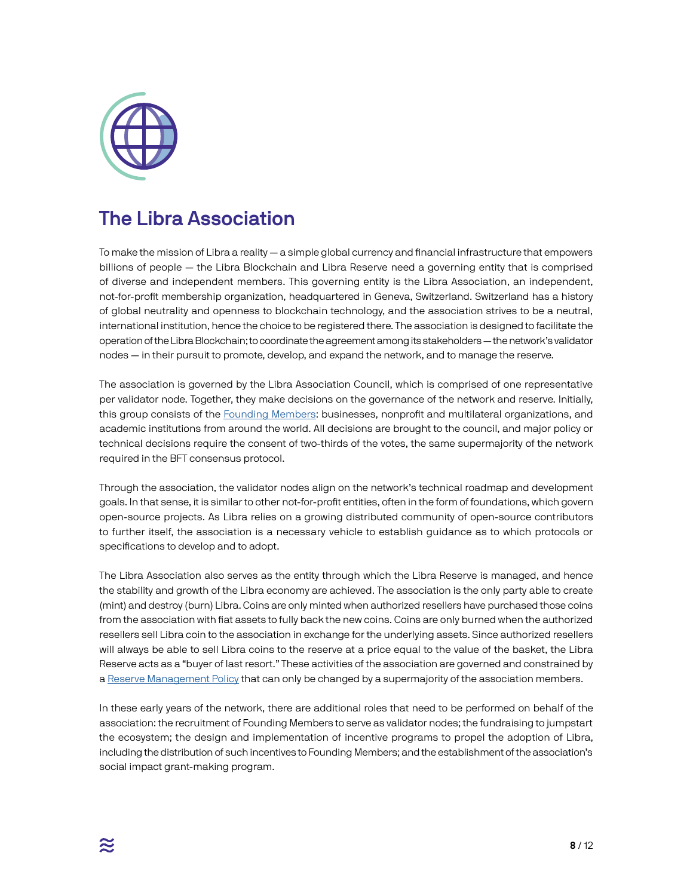

 $\approx$ 

## **The Libra Association**

To make the mission of Libra a reality — a simple global currency and financial infrastructure that empowers billions of people — the Libra Blockchain and Libra Reserve need a governing entity that is comprised of diverse and independent members. This governing entity is the Libra Association, an independent, not-for-profit membership organization, headquartered in Geneva, Switzerland. Switzerland has a history of global neutrality and openness to blockchain technology, and the association strives to be a neutral, international institution, hence the choice to be registered there. The association is designed to facilitate the operation of the Libra Blockchain; to coordinate the agreement among its stakeholders — the network's validator nodes — in their pursuit to promote, develop, and expand the network, and to manage the reserve.

The association is governed by the Libra Association Council, which is comprised of one representative per validator node. Together, they make decisions on the governance of the network and reserve. Initially, this group consists of the [Founding Members](https://libra.org/en-us/non-profit-association): businesses, nonprofit and multilateral organizations, and academic institutions from around the world. All decisions are brought to the council, and major policy or technical decisions require the consent of two-thirds of the votes, the same supermajority of the network required in the BFT consensus protocol.

Through the association, the validator nodes align on the network's technical roadmap and development goals. In that sense, it is similar to other not-for-profit entities, often in the form of foundations, which govern open-source projects. As Libra relies on a growing distributed community of open-source contributors to further itself, the association is a necessary vehicle to establish guidance as to which protocols or specifications to develop and to adopt.

The Libra Association also serves as the entity through which the Libra Reserve is managed, and hence the stability and growth of the Libra economy are achieved. The association is the only party able to create (mint) and destroy (burn) Libra. Coins are only minted when authorized resellers have purchased those coins from the association with fiat assets to fully back the new coins. Coins are only burned when the authorized resellers sell Libra coin to the association in exchange for the underlying assets. Since authorized resellers will always be able to sell Libra coins to the reserve at a price equal to the value of the basket, the Libra Reserve acts as a "buyer of last resort." These activities of the association are governed and constrained by a [Reserve Management Policy](https://libra.org/en-us/association-council-principles) that can only be changed by a supermajority of the association members.

In these early years of the network, there are additional roles that need to be performed on behalf of the association: the recruitment of Founding Members to serve as validator nodes; the fundraising to jumpstart the ecosystem; the design and implementation of incentive programs to propel the adoption of Libra, including the distribution of such incentives to Founding Members; and the establishment of the association's social impact grant-making program.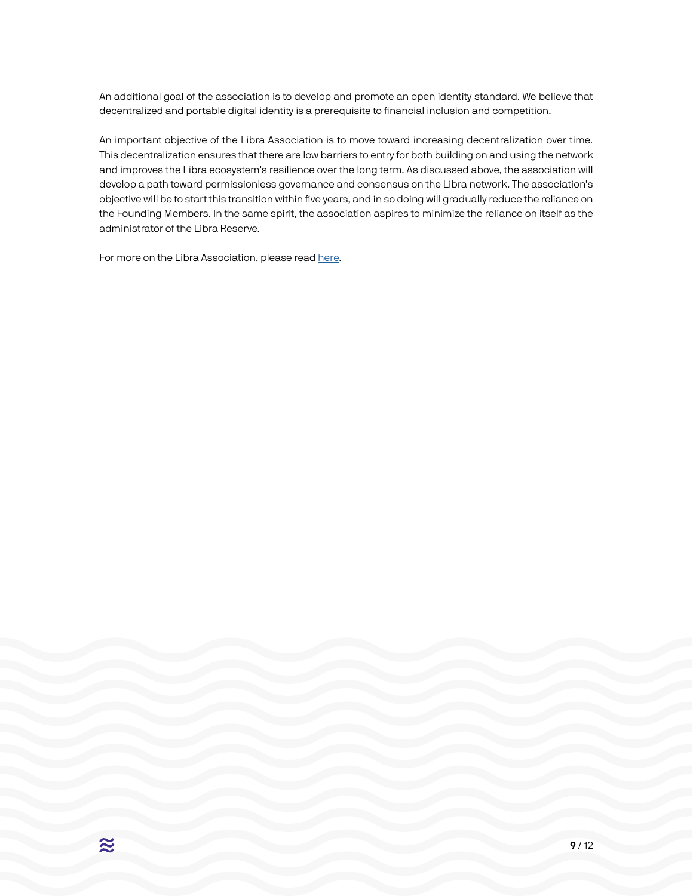An additional goal of the association is to develop and promote an open identity standard. We believe that decentralized and portable digital identity is a prerequisite to financial inclusion and competition.

An important objective of the Libra Association is to move toward increasing decentralization over time. This decentralization ensures that there are low barriers to entry for both building on and using the network and improves the Libra ecosystem's resilience over the long term. As discussed above, the association will develop a path toward permissionless governance and consensus on the Libra network. The association's objective will be to start this transition within five years, and in so doing will gradually reduce the reliance on the Founding Members. In the same spirit, the association aspires to minimize the reliance on itself as the administrator of the Libra Reserve.

For more on the Libra Association, please read [here.](https://libra.org/en-us/association-council-principles)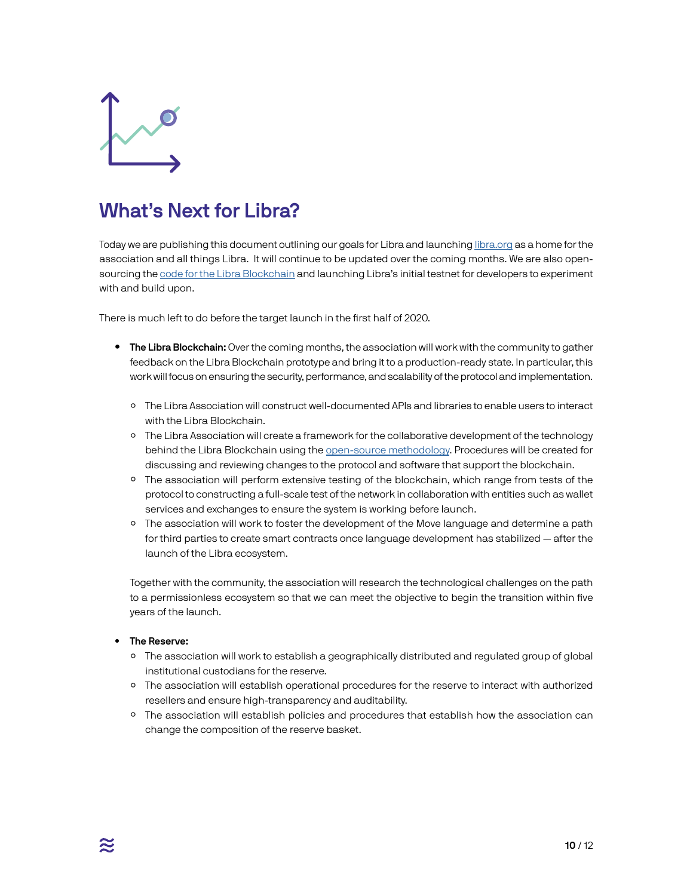

### **What's Next for Libra?**

Today we are publishing this document outlining our goals for Libra and launching [libra.org](http://libra.org/) as a home for the association and all things Libra. It will continue to be updated over the coming months. We are also opensourcing the [code for the Libra Blockchain](https://developers.libra.org/) and launching Libra's initial testnet for developers to experiment with and build upon.

There is much left to do before the target launch in the first half of 2020.

- **The Libra Blockchain:** Over the coming months, the association will work with the community to gather feedback on the Libra Blockchain prototype and bring it to a production-ready state. In particular, this work will focus on ensuring the security, performance, and scalability of the protocol and implementation.
	- The Libra Association will construct well-documented APIs and libraries to enable users to interact with the Libra Blockchain.
	- The Libra Association will create a framework for the collaborative development of the technology behind the Libra Blockchain using the [open-source methodology](https://developers.libra.org/docs/libra-open-source-paper). Procedures will be created for discussing and reviewing changes to the protocol and software that support the blockchain.
	- The association will perform extensive testing of the blockchain, which range from tests of the protocol to constructing a full-scale test of the network in collaboration with entities such as wallet services and exchanges to ensure the system is working before launch.
	- The association will work to foster the development of the Move language and determine a path for third parties to create smart contracts once language development has stabilized — after the launch of the Libra ecosystem.

Together with the community, the association will research the technological challenges on the path to a permissionless ecosystem so that we can meet the objective to begin the transition within five years of the launch.

#### • **The Reserve:**

 $\approx$ 

- The association will work to establish a geographically distributed and regulated group of global institutional custodians for the reserve.
- The association will establish operational procedures for the reserve to interact with authorized resellers and ensure high-transparency and auditability.
- The association will establish policies and procedures that establish how the association can change the composition of the reserve basket.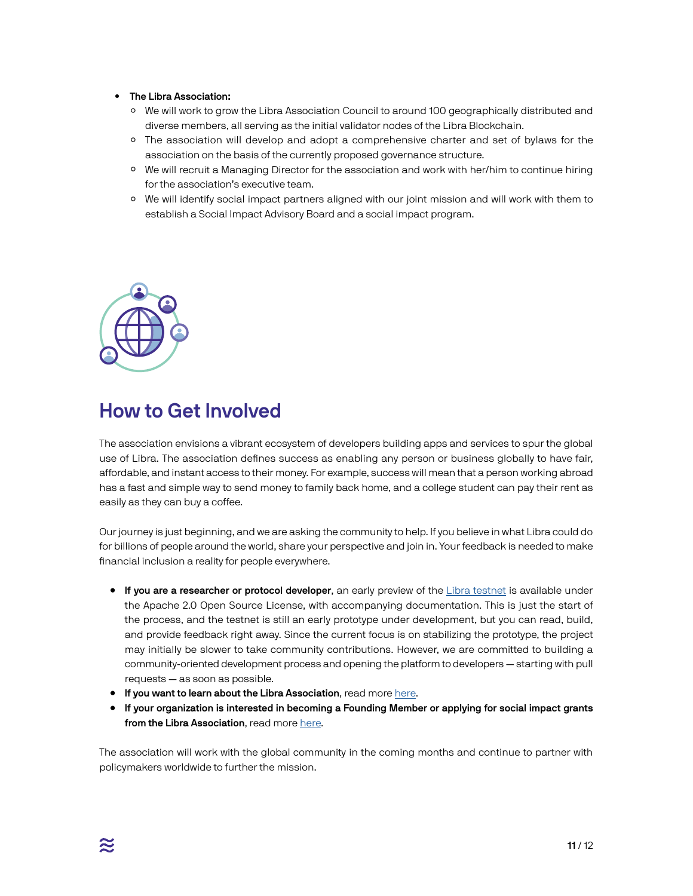#### • **The Libra Association:**

- We will work to grow the Libra Association Council to around 100 geographically distributed and diverse members, all serving as the initial validator nodes of the Libra Blockchain.
- The association will develop and adopt a comprehensive charter and set of bylaws for the association on the basis of the currently proposed governance structure.
- We will recruit a Managing Director for the association and work with her/him to continue hiring for the association's executive team.
- We will identify social impact partners aligned with our joint mission and will work with them to establish a Social Impact Advisory Board and a social impact program.



 $\approx$ 

## **How to Get Involved**

The association envisions a vibrant ecosystem of developers building apps and services to spur the global use of Libra. The association defines success as enabling any person or business globally to have fair, affordable, and instant access to their money. For example, success will mean that a person working abroad has a fast and simple way to send money to family back home, and a college student can pay their rent as easily as they can buy a coffee.

Our journey is just beginning, and we are asking the community to help. If you believe in what Libra could do for billions of people around the world, share your perspective and join in. Your feedback is needed to make financial inclusion a reality for people everywhere.

- **If you are a researcher or protocol developer**, an early preview of the [Libra testnet](https://developers.libra.org/) is available under the Apache 2.0 Open Source License, with accompanying documentation. This is just the start of the process, and the testnet is still an early prototype under development, but you can read, build, and provide feedback right away. Since the current focus is on stabilizing the prototype, the project may initially be slower to take community contributions. However, we are committed to building a community-oriented development process and opening the platform to developers — starting with pull requests — as soon as possible.
- **If you want to learn about the Libra Association**, read more [here](https://libra.org/en-us/non-profit-association).
- **If your organization is interested in becoming a Founding Member or applying for social impact grants from the Libra Association**, read more [here.](https://libra.org/en-us/becoming-founding-member)

The association will work with the global community in the coming months and continue to partner with policymakers worldwide to further the mission.